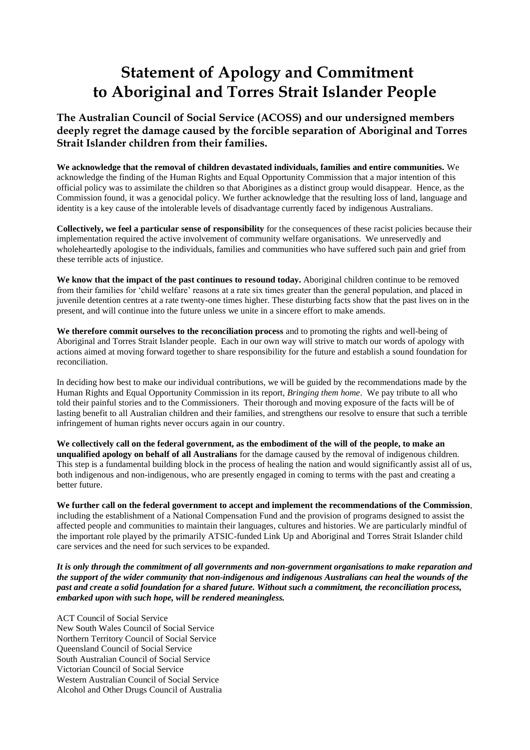## **Statement of Apology and Commitment to Aboriginal and Torres Strait Islander People**

## **The Australian Council of Social Service (ACOSS) and our undersigned members deeply regret the damage caused by the forcible separation of Aboriginal and Torres Strait Islander children from their families.**

**We acknowledge that the removal of children devastated individuals, families and entire communities.** We acknowledge the finding of the Human Rights and Equal Opportunity Commission that a major intention of this official policy was to assimilate the children so that Aborigines as a distinct group would disappear. Hence, as the Commission found, it was a genocidal policy. We further acknowledge that the resulting loss of land, language and identity is a key cause of the intolerable levels of disadvantage currently faced by indigenous Australians.

**Collectively, we feel a particular sense of responsibility** for the consequences of these racist policies because their implementation required the active involvement of community welfare organisations. We unreservedly and wholeheartedly apologise to the individuals, families and communities who have suffered such pain and grief from these terrible acts of injustice.

**We know that the impact of the past continues to resound today.** Aboriginal children continue to be removed from their families for 'child welfare' reasons at a rate six times greater than the general population, and placed in juvenile detention centres at a rate twenty-one times higher. These disturbing facts show that the past lives on in the present, and will continue into the future unless we unite in a sincere effort to make amends.

**We therefore commit ourselves to the reconciliation process** and to promoting the rights and well-being of Aboriginal and Torres Strait Islander people. Each in our own way will strive to match our words of apology with actions aimed at moving forward together to share responsibility for the future and establish a sound foundation for reconciliation.

In deciding how best to make our individual contributions, we will be guided by the recommendations made by the Human Rights and Equal Opportunity Commission in its report, *Bringing them home*. We pay tribute to all who told their painful stories and to the Commissioners. Their thorough and moving exposure of the facts will be of lasting benefit to all Australian children and their families, and strengthens our resolve to ensure that such a terrible infringement of human rights never occurs again in our country.

**We collectively call on the federal government, as the embodiment of the will of the people, to make an unqualified apology on behalf of all Australians** for the damage caused by the removal of indigenous children. This step is a fundamental building block in the process of healing the nation and would significantly assist all of us, both indigenous and non-indigenous, who are presently engaged in coming to terms with the past and creating a better future.

**We further call on the federal government to accept and implement the recommendations of the Commission**, including the establishment of a National Compensation Fund and the provision of programs designed to assist the affected people and communities to maintain their languages, cultures and histories. We are particularly mindful of the important role played by the primarily ATSIC-funded Link Up and Aboriginal and Torres Strait Islander child care services and the need for such services to be expanded.

*It is only through the commitment of all governments and non-government organisations to make reparation and the support of the wider community that non-indigenous and indigenous Australians can heal the wounds of the past and create a solid foundation for a shared future. Without such a commitment, the reconciliation process, embarked upon with such hope, will be rendered meaningless.*

ACT Council of Social Service New South Wales Council of Social Service Northern Territory Council of Social Service Queensland Council of Social Service South Australian Council of Social Service Victorian Council of Social Service Western Australian Council of Social Service Alcohol and Other Drugs Council of Australia